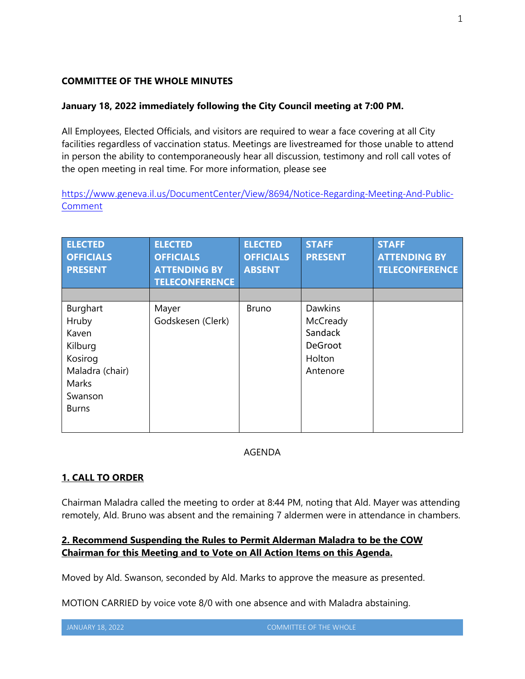#### **COMMITTEE OF THE WHOLE MINUTES**

#### **January 18, 2022 immediately following the City Council meeting at 7:00 PM.**

All Employees, Elected Officials, and visitors are required to wear a face covering at all City facilities regardless of vaccination status. Meetings are livestreamed for those unable to attend in person the ability to contemporaneously hear all discussion, testimony and roll call votes of the open meeting in real time. For more information, please see

https://www.geneva.il.us/DocumentCenter/View/8694/Notice-Regarding-Meeting-And-Public-Comment

| <b>ELECTED</b><br><b>OFFICIALS</b><br><b>PRESENT</b> | <b>ELECTED</b><br><b>OFFICIALS</b><br><b>ATTENDING BY</b><br><b>TELECONFERENCE</b> | <b>ELECTED</b><br><b>OFFICIALS</b><br><b>ABSENT</b> | <b>STAFF</b><br><b>PRESENT</b> | <b>STAFF</b><br><b>ATTENDING BY</b><br><b>TELECONFERENCE</b> |
|------------------------------------------------------|------------------------------------------------------------------------------------|-----------------------------------------------------|--------------------------------|--------------------------------------------------------------|
|                                                      |                                                                                    |                                                     |                                |                                                              |
| Burghart                                             | Mayer                                                                              | <b>Bruno</b>                                        | <b>Dawkins</b>                 |                                                              |
| Hruby                                                | Godskesen (Clerk)                                                                  |                                                     | McCready                       |                                                              |
| Kaven                                                |                                                                                    |                                                     | Sandack                        |                                                              |
| Kilburg                                              |                                                                                    |                                                     | DeGroot                        |                                                              |
| Kosirog                                              |                                                                                    |                                                     | Holton                         |                                                              |
| Maladra (chair)                                      |                                                                                    |                                                     | Antenore                       |                                                              |
| Marks                                                |                                                                                    |                                                     |                                |                                                              |
| Swanson                                              |                                                                                    |                                                     |                                |                                                              |
| <b>Burns</b>                                         |                                                                                    |                                                     |                                |                                                              |
|                                                      |                                                                                    |                                                     |                                |                                                              |

#### AGENDA

## **1. CALL TO ORDER**

Chairman Maladra called the meeting to order at 8:44 PM, noting that Ald. Mayer was attending remotely, Ald. Bruno was absent and the remaining 7 aldermen were in attendance in chambers.

## **2. Recommend Suspending the Rules to Permit Alderman Maladra to be the COW Chairman for this Meeting and to Vote on All Action Items on this Agenda.**

Moved by Ald. Swanson, seconded by Ald. Marks to approve the measure as presented.

MOTION CARRIED by voice vote 8/0 with one absence and with Maladra abstaining.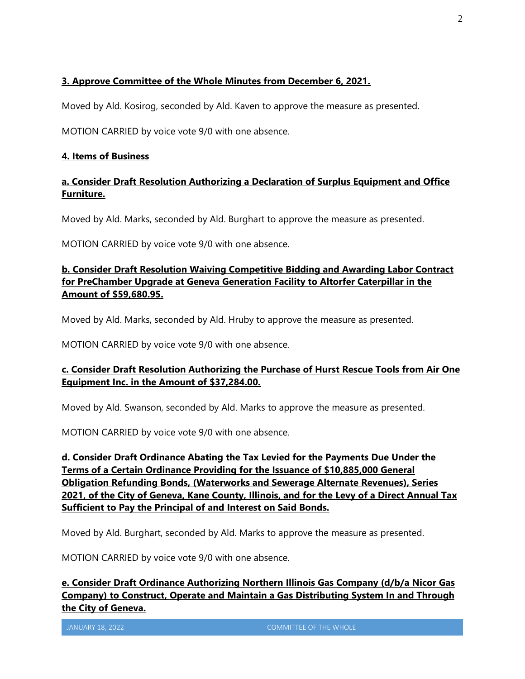# **3. Approve Committee of the Whole Minutes from December 6, 2021.**

Moved by Ald. Kosirog, seconded by Ald. Kaven to approve the measure as presented.

MOTION CARRIED by voice vote 9/0 with one absence.

#### **4. Items of Business**

## **a. Consider Draft Resolution Authorizing a Declaration of Surplus Equipment and Office Furniture.**

Moved by Ald. Marks, seconded by Ald. Burghart to approve the measure as presented.

MOTION CARRIED by voice vote 9/0 with one absence.

## **b. Consider Draft Resolution Waiving Competitive Bidding and Awarding Labor Contract for PreChamber Upgrade at Geneva Generation Facility to Altorfer Caterpillar in the Amount of \$59,680.95.**

Moved by Ald. Marks, seconded by Ald. Hruby to approve the measure as presented.

MOTION CARRIED by voice vote 9/0 with one absence.

## **c. Consider Draft Resolution Authorizing the Purchase of Hurst Rescue Tools from Air One Equipment Inc. in the Amount of \$37,284.00.**

Moved by Ald. Swanson, seconded by Ald. Marks to approve the measure as presented.

MOTION CARRIED by voice vote 9/0 with one absence.

**d. Consider Draft Ordinance Abating the Tax Levied for the Payments Due Under the Terms of a Certain Ordinance Providing for the Issuance of \$10,885,000 General Obligation Refunding Bonds, (Waterworks and Sewerage Alternate Revenues), Series 2021, of the City of Geneva, Kane County, Illinois, and for the Levy of a Direct Annual Tax Sufficient to Pay the Principal of and Interest on Said Bonds.** 

Moved by Ald. Burghart, seconded by Ald. Marks to approve the measure as presented.

MOTION CARRIED by voice vote 9/0 with one absence.

**e. Consider Draft Ordinance Authorizing Northern Illinois Gas Company (d/b/a Nicor Gas Company) to Construct, Operate and Maintain a Gas Distributing System In and Through the City of Geneva.**